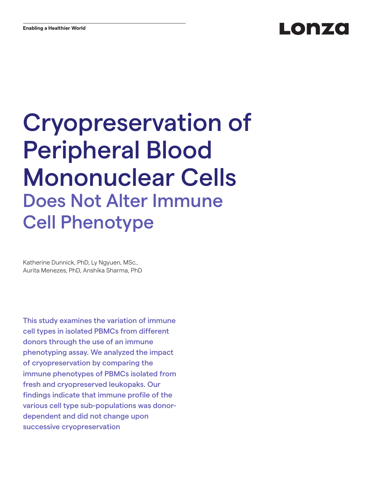# Lonzo

# Cryopreservation of Peripheral Blood Mononuclear Cells Does Not Alter Immune Cell Phenotype

Katherine Dunnick, PhD, Ly Ngyuen, MSc., Aurita Menezes, PhD, Anshika Sharma, PhD

This study examines the variation of immune cell types in isolated PBMCs from different donors through the use of an immune phenotyping assay. We analyzed the impact of cryopreservation by comparing the immune phenotypes of PBMCs isolated from fresh and cryopreserved leukopaks. Our findings indicate that immune profile of the various cell type sub-populations was donordependent and did not change upon successive cryopreservation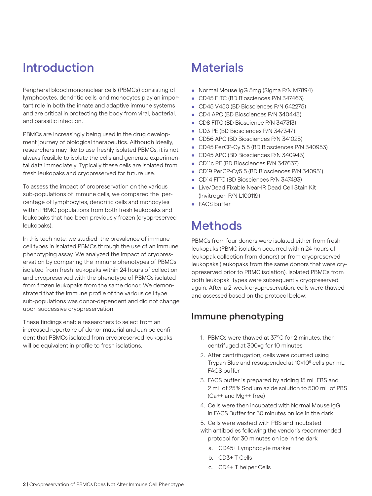# Introduction

Peripheral blood mononuclear cells (PBMCs) consisting of lymphocytes, dendritic cells, and monocytes play an important role in both the innate and adaptive immune systems and are critical in protecting the body from viral, bacterial, and parasitic infection.

PBMCs are increasingly being used in the drug development journey of biological therapeutics. Although ideally, researchers may like to use freshly isolated PBMCs, it is not always feasible to isolate the cells and generate experimental data immediately. Typically these cells are isolated from fresh leukopaks and cryopreserved for future use.

To assess the impact of cropreservation on the various sub-populations of immune cells, we compared the percentage of lymphocytes, dendritic cells and monocytes within PBMC populations from both fresh leukopaks and leukopaks that had been previously frozen (cryopreserved leukopaks).

In this tech note, we studied the prevalence of immune cell types in isolated PBMCs through the use of an immune phenotyping assay. We analyzed the impact of cryopreservation by comparing the immune phenotypes of PBMCs isolated from fresh leukopaks within 24 hours of collection and cryopreserved with the phenotype of PBMCs isolated from frozen leukopaks from the same donor. We demonstrated that the immune profile of the various cell type sub-populations was donor-dependent and did not change upon successive cryopreservation.

These findings enable researchers to select from an increased repertoire of donor material and can be confident that PBMCs isolated from cryopreserved leukopaks will be equivalent in profile to fresh isolations.

### **Materials**

- Normal Mouse IgG 5mg (Sigma P/N M7894)
- CD45 FITC (BD Biosciences P/N 347463)
- CD45 V450 (BD Biosciences P/N 642275)
- CD4 APC (BD Biosciences P/N 340443)
- CD8 FITC (BD Bioscience P/N 347313)
- CD3 PE (BD Biosciences P/N 347347)
- CD56 APC (BD Biosciences P/N 341025)
- CD45 PerCP-Cy 5.5 (BD Biosciences P/N 340953)
- CD45 APC (BD Biosciences P/N 340943)
- CD11c PE (BD Biosciences P/N 347637)
- CD19 PerCP-Cy5.5 (BD Biosciences P/N 340951)
- CD14 FITC (BD Biosciences P/N 347493)
- Live/Dead Fixable Near-IR Dead Cell Stain Kit (Invitrogen P/N L100119)
- FACS buffer

# **Methods**

PBMCs from four donors were isolated either from fresh leukopaks (PBMC isolation occurred within 24 hours of leukopak collection from donors) or from cryopreserved leukopaks (leukopaks from the same donors that were cryopreserved prior to PBMC isolation). Isolated PBMCs from both leukopak types were subsequently cryopreserved again. After a 2-week cryopreservation, cells were thawed and assessed based on the protocol below:

### Immune phenotyping

- 1. PBMCs were thawed at 37ºC for 2 minutes, then centrifuged at 300xg for 10 minutes
- 2. After centrifugation, cells were counted using Trypan Blue and resuspended at 10×10<sup>6</sup> cells per mL FACS buffer
- 3. FACS buffer is prepared by adding 15 mL FBS and 2 mL of 25% Sodium azide solution to 500 mL of PBS (Ca++ and Mg++ free)
- 4. Cells were then incubated with Normal Mouse IgG in FACS Buffer for 30 minutes on ice in the dark
- 5. Cells were washed with PBS and incubated
- with antibodies following the vendor's recommended protocol for 30 minutes on ice in the dark
	- a. CD45+ Lymphocyte marker
	- b. CD3+ T Cells
	- c. CD4+ T helper Cells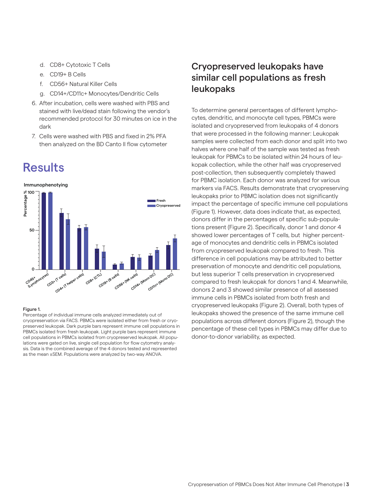- d. CD8+ Cytotoxic T Cells
- e. CD19+ B Cells
- f. CD56+ Natural Killer Cells
- g. CD14+/CD11c+ Monocytes/Dendritic Cells
- 6. After incubation, cells were washed with PBS and stained with live/dead stain following the vendor's recommended protocol for 30 minutes on ice in the dark
- 7. Cells were washed with PBS and fixed in 2% PFA then analyzed on the BD Canto II flow cytometer

### **Results**



#### Figure 1.

Percentage of individual immune cells analyzed immediately out of cryopreservation via FACS. PBMCs were isolated either from fresh or cryopreserved leukopak. Dark purple bars represent immune cell populations in PBMCs isolated from fresh leukopak. Light purple bars represent immune cell populations in PBMCs isolated from cryopreserved leukopak. All populations were gated on live, single cell population for flow cytometry analysis. Data is the combined average of the 4 donors tested and represented as the mean ±SEM. Populations were analyzed by two-way ANOVA.

### Cryopreserved leukopaks have similar cell populations as fresh leukopaks

To determine general percentages of different lymphocytes, dendritic, and monocyte cell types, PBMCs were isolated and cryopreserved from leukopaks of 4 donors that were processed in the following manner: Leukopak samples were collected from each donor and split into two halves where one half of the sample was tested as fresh leukopak for PBMCs to be isolated within 24 hours of leukopak collection, while the other half was cryopreserved post-collection, then subsequently completely thawed for PBMC isolation. Each donor was analyzed for various markers via FACS. Results demonstrate that cryopreserving leukopaks prior to PBMC isolation does not significantly impact the percentage of specific immune cell populations (Figure 1). However, data does indicate that, as expected, donors differ in the percentages of specific sub-populations present (Figure 2). Specifically, donor 1 and donor 4 showed lower percentages of T cells, but higher percentage of monocytes and dendritic cells in PBMCs isolated from cryopreserved leukopak compared to fresh. This difference in cell populations may be attributed to better preservation of monocyte and dendritic cell populations, but less superior T cells preservation in cryopreserved compared to fresh leukopak for donors 1 and 4. Meanwhile, donors 2 and 3 showed similar presence of all assessed immune cells in PBMCs isolated from both fresh and cryopreserved leukopaks (Figure 2). Overall, both types of leukopaks showed the presence of the same immune cell populations across different donors (Figure 2), though the pencentage of these cell types in PBMCs may differ due to donor-to-donor variability, as expected.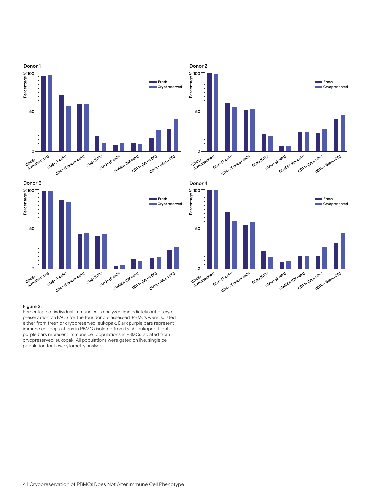

#### Figure 2.

Percentage of individual immune cells analyzed immediately out of cryopreservation via FACS for the four donors assessed. PBMCs were isolated either from fresh or cryopreserved leukopak. Dark purple bars represent immune cell populations in PBMCs isolated from fresh leukopak. Light purple bars represent immune cell populations in PBMCs isolated from cryopreserved leukopak. All populations were gated on live, single cell population for flow cytometry analysis.